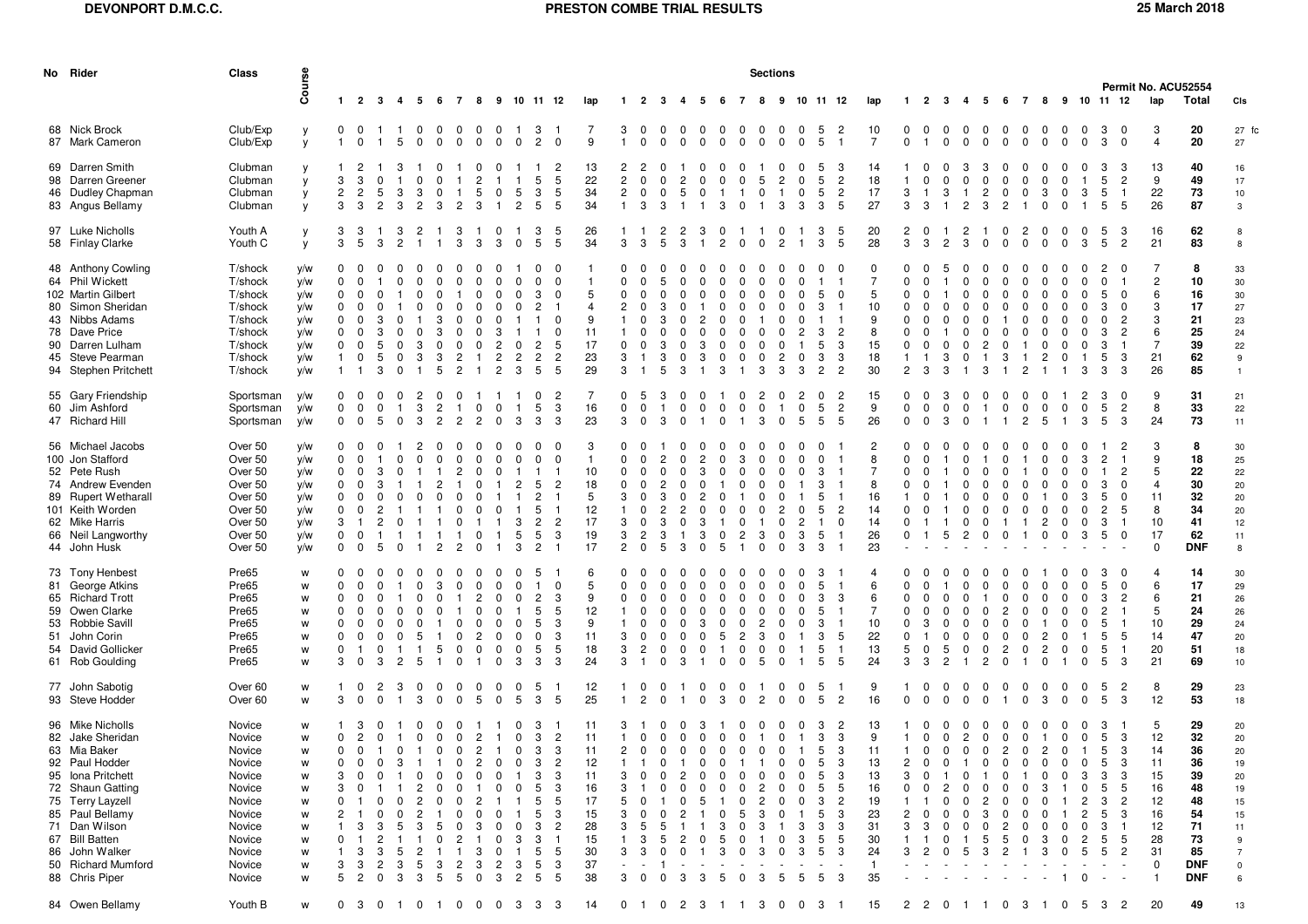| No Rider                                                                                                                                                                                                                                            | <b>Class</b>                                                                                                                   |                                                               | <b>Sections</b><br>Permit No. ACU52554                   |                                                                       |                                                                                           |                                                                  |                            |                                                                              |                                                                  |                                                                 |                                                                                                                                                 |                                                                                                 |                                                                            |                                                                             |                                      |                                                             |                                                                                   |                                                                  |                                                        |                                                         |                                                                                                             |                                                     |                                                                                  |                                                                                     |                                                                                 |                                                                                        |                                       |                                                                       |                                                                       |                                       |                                                                                                             |                                                                                 |                                                     |                                                                               |                                                                          |                                                                                            |                                                                                                                |
|-----------------------------------------------------------------------------------------------------------------------------------------------------------------------------------------------------------------------------------------------------|--------------------------------------------------------------------------------------------------------------------------------|---------------------------------------------------------------|----------------------------------------------------------|-----------------------------------------------------------------------|-------------------------------------------------------------------------------------------|------------------------------------------------------------------|----------------------------|------------------------------------------------------------------------------|------------------------------------------------------------------|-----------------------------------------------------------------|-------------------------------------------------------------------------------------------------------------------------------------------------|-------------------------------------------------------------------------------------------------|----------------------------------------------------------------------------|-----------------------------------------------------------------------------|--------------------------------------|-------------------------------------------------------------|-----------------------------------------------------------------------------------|------------------------------------------------------------------|--------------------------------------------------------|---------------------------------------------------------|-------------------------------------------------------------------------------------------------------------|-----------------------------------------------------|----------------------------------------------------------------------------------|-------------------------------------------------------------------------------------|---------------------------------------------------------------------------------|----------------------------------------------------------------------------------------|---------------------------------------|-----------------------------------------------------------------------|-----------------------------------------------------------------------|---------------------------------------|-------------------------------------------------------------------------------------------------------------|---------------------------------------------------------------------------------|-----------------------------------------------------|-------------------------------------------------------------------------------|--------------------------------------------------------------------------|--------------------------------------------------------------------------------------------|----------------------------------------------------------------------------------------------------------------|
|                                                                                                                                                                                                                                                     |                                                                                                                                | Course                                                        |                                                          | $1 \quad 2 \quad 3$                                                   | 4                                                                                         |                                                                  | 5 6                        | 78                                                                           |                                                                  |                                                                 | 9 10 11 12                                                                                                                                      |                                                                                                 | lap                                                                        | -1                                                                          | $\overline{2}$                       | -3<br>-4                                                    | 5                                                                                 | - 6                                                              | 7                                                      | 8                                                       | 9                                                                                                           |                                                     | 10 11 12                                                                         | lap                                                                                 | -1.                                                                             | 2<br>-3                                                                                | -4                                    | -5                                                                    | 6                                                                     | $\overline{7}$                        | 8 9 10 11 12                                                                                                |                                                                                 |                                                     |                                                                               | lap                                                                      | Total                                                                                      | CIs                                                                                                            |
| 68 Nick Brock<br>87 Mark Cameron                                                                                                                                                                                                                    | Club/Exp<br>Club/Exp                                                                                                           | y<br>y                                                        | 0<br>$\mathbf{1}$                                        | $\mathbf 0$<br>$\mathbf 0$                                            | 5                                                                                         | 0<br>$\mathbf 0$                                                 | $\Omega$<br>$\Omega$       | $\Omega$<br>0                                                                | $\Omega$<br>0                                                    | 0<br>0                                                          | -3<br>$\overline{2}$<br>0                                                                                                                       | $\overline{0}$                                                                                  | 9                                                                          | 3<br>$\mathbf{1}$                                                           | $\mathbf 0$<br>$\mathbf 0$           | 0<br>$\mathbf 0$                                            | 0<br>0<br>$\Omega$<br>0                                                           | 0<br>$\mathbf 0$                                                 | 0<br>$\mathbf 0$                                       | $\mathbf 0$<br>$\mathbf 0$                              | 0<br>0<br>$\mathbf 0$<br>$\Omega$                                                                           | -5<br>5                                             | $\overline{c}$<br>$\overline{1}$                                                 | 10<br>$\overline{7}$                                                                | $\mathbf{0}$<br>0                                                               | $\overline{0}$<br>$\mathbf 0$<br>0                                                     | 0<br>$\Omega$                         | $^{\circ}$<br>$\mathbf 0$                                             | $^{\circ}$<br>$\mathbf 0$                                             | $\mathbf 0$<br>$\Omega$               | 0<br>0                                                                                                      | 0<br>0<br>0<br>0                                                                | -3<br>3                                             | 0<br>$\mathbf 0$                                                              | 3<br>$\overline{4}$                                                      | 20<br>20                                                                                   | 27 fc<br>27                                                                                                    |
| 69 Darren Smith<br>98 Darren Greener<br>46 Dudley Chapman<br>83 Angus Bellamy                                                                                                                                                                       | Clubman<br>Clubman<br>Clubman<br>Clubman                                                                                       | y<br>y<br>y<br>y                                              | 3<br>2<br>3                                              | 3<br>$\overline{c}$<br>3                                              | 5<br>3<br>2<br>3                                                                          | 0<br>3<br>$\overline{c}$                                         | $\Omega$<br>3              | 2                                                                            | $\Omega$<br>5<br>3                                               | 0<br>-1                                                         | 5<br>3<br>5<br>$\overline{2}$<br>5                                                                                                              | -2<br>5<br>5<br>5                                                                               | 13<br>22<br>34<br>34                                                       | 2<br>$\overline{2}$<br>$\overline{c}$<br>$\overline{1}$                     | $\mathbf 0$<br>$\mathbf 0$<br>3      | $\mathbf 0$<br>$\mathbf 0$<br>3                             | 5<br>0                                                                            | 3                                                                | -1<br>0                                                | 5<br>$\overline{0}$<br>- 1                              | 0<br>3<br>3                                                                                                 | 5<br>5<br>3                                         | -3<br>$\overline{c}$<br>$\overline{c}$<br>5                                      | 14<br>18<br>17<br>27                                                                | 3<br>3                                                                          | $\Omega$<br>3<br>$\overline{1}$<br>3<br>$\mathbf{1}$                                   | 3<br>0<br>2                           | 3<br>$\Omega$<br>$\overline{c}$<br>3                                  | $\Omega$<br>0<br>0<br>$\overline{c}$                                  | $\mathbf 0$                           | 0<br>$\Omega$<br>3<br>0                                                                                     | 3<br>0<br>0<br>-1                                                               | 3<br>5<br>5<br>5                                    | -3<br>$\overline{c}$<br>$\overline{1}$<br>- 5                                 | 13<br>9<br>22<br>26                                                      | 40<br>49<br>73<br>87                                                                       | 16<br>17<br>$10$<br>3                                                                                          |
| 97 Luke Nicholls<br>58 Finlay Clarke                                                                                                                                                                                                                | Youth A<br>Youth C                                                                                                             | y<br>у                                                        | 3<br>3                                                   | 3<br>-5                                                               | 3<br>$\overline{c}$<br>3                                                                  |                                                                  |                            | 3<br>3                                                                       | 3                                                                | 0<br>3                                                          | 3<br>5<br>0                                                                                                                                     | -5<br>5                                                                                         | 26<br>34                                                                   | 3                                                                           | 3                                    | 2<br>5                                                      | 2<br>3<br>3                                                                       | 0<br>2                                                           | 0                                                      | 0                                                       | 2                                                                                                           | 3<br>3                                              | 5<br>5                                                                           | 20<br>28                                                                            | 2<br>3                                                                          | 0<br>-1<br>3<br>2                                                                      | $\overline{c}$<br>3                   | 0                                                                     | 0<br>0                                                                | $\overline{c}$<br>0                   | 0<br>0                                                                                                      | $\mathbf 0$<br>0<br>3<br>0                                                      | 5<br>-5                                             | -3<br>$\overline{2}$                                                          | 16<br>21                                                                 | 62<br>83                                                                                   | 8<br>8                                                                                                         |
| 48 Anthony Cowling<br>64 Phil Wickett<br>102 Martin Gilbert<br>80 Simon Sheridan<br>43 Nibbs Adams<br>78 Dave Price<br>90 Darren Lulham<br>45 Steve Pearman<br>94 Stephen Pritchett                                                                 | T/shock<br>T/shock<br>T/shock<br>T/shock<br>T/shock<br>T/shock<br>T/shock<br>T/shock<br>T/shock                                | y/w<br>y/w<br>y/w<br>y/w<br>y/w<br>y/w<br>y/w<br>y/w<br>y/w   | 0<br>$\Omega$<br><sup>0</sup><br>0                       | <sup>0</sup><br>$\Omega$<br>$\Omega$<br>0                             | 5<br>5<br>3                                                                               | 0<br>з<br>3                                                      | 3<br>-5                    | $\overline{c}$<br>2                                                          |                                                                  | 0<br>З<br>2<br>2<br>$\overline{2}$                              | 0<br>0<br><sup>0</sup><br>3<br>2<br>2<br>$\overline{c}$<br>2<br>3<br>5                                                                          | - 0<br>$\Omega$<br>$\Omega$<br>$\Omega$<br>$\Omega$<br>-5<br>$\overline{c}$<br>5                | 5<br>$\overline{4}$<br>9<br>11<br>17<br>23<br>29                           | $\Omega$<br>$\Omega$<br>$\Omega$<br>$\Omega$<br>3<br>3                      |                                      | 3<br>.5                                                     | З                                                                                 | 3                                                                |                                                        | $\Omega$<br>3                                           | 2<br>0<br>3<br>3                                                                                            | 5<br>3<br>$\overline{2}$                            | $\Omega$<br>2<br>3<br>3<br>2                                                     | $\Omega$<br>7<br>5<br>10<br>9<br>8<br>15<br>18<br>30                                | $\Omega$<br>$\Omega$<br>$\Omega$<br>$\Omega$<br>$\Omega$<br>0<br>$\overline{2}$ | 3<br>3<br>3                                                                            |                                       | O<br>2<br>3                                                           | $\Omega$<br>3                                                         | 2                                     | 0<br>2                                                                                                      | <sup>0</sup><br>0<br>3                                                          | 2<br>0<br>5<br>3<br>3<br>3<br>5<br>3                | - 0<br>0<br>0<br>$\overline{2}$<br>$\overline{2}$<br>-1<br>-3<br>-3           | 7<br>2<br>6<br>3<br>3<br>6<br>7<br>21<br>26                              | 8<br>10<br>16<br>17<br>21<br>25<br>39<br>62<br>85                                          | 33<br>30<br>30<br>27<br>23<br>24<br>22<br>9<br>$\mathbf{1}$                                                    |
| 55 Gary Friendship<br>60 Jim Ashford<br>47 Richard Hill                                                                                                                                                                                             | Sportsman<br>Sportsman<br>Sportsman                                                                                            | y/w<br>y/w<br>y/w                                             | 0<br>0<br>$\mathbf{0}$                                   | $\mathbf 0$<br>$\mathbf 0$<br>$\mathbf{0}$                            | -0<br>- 0<br>0<br>-5<br>0                                                                 | 2<br>3<br>3                                                      | 0<br>$\overline{c}$<br>2   | 0<br>-1<br>$\overline{2}$                                                    | 0<br>2                                                           | 0<br>0                                                          | 0<br>5<br>3<br>3                                                                                                                                | -2<br>3<br>3                                                                                    | 16<br>23                                                                   | $\Omega$<br>$\mathbf 0$<br>3                                                | 5<br>$\mathbf 0$<br>$\Omega$         | 3<br>$\mathbf{1}$<br>3                                      | 0<br>0<br>$\mathbf 0$<br>0                                                        | 0<br>$\Omega$                                                    | 0<br>$\Omega$                                          | 2<br>$\mathbf 0$<br>3                                   | 2<br>0<br>0<br>5<br>$\Omega$                                                                                | 0<br>5<br>5                                         | 2<br>$\overline{c}$<br>5                                                         | 15<br>9<br>26                                                                       | 0<br>$\mathbf 0$<br>$\mathbf 0$                                                 | 0<br>3<br>$\mathbf 0$<br>0<br>$\Omega$<br>3                                            | 0<br>0<br>0                           | 0<br>-1                                                               | 0<br>0                                                                | 0<br>0<br>2                           | 0<br>0<br>5                                                                                                 | 2<br>0<br>0<br>3                                                                | 3<br>5<br>5                                         | 0<br>$\overline{c}$<br>-3                                                     | 9<br>8<br>24                                                             | 31<br>33<br>73                                                                             | 21<br>22<br>11                                                                                                 |
| 56 Michael Jacobs<br>100 Jon Stafford<br>52 Pete Rush<br>74 Andrew Evenden<br>89 Rupert Wetharall<br>101 Keith Worden<br>62 Mike Harris<br>66 Neil Langworthy<br>44 John Husk                                                                       | Over 50<br>Over 50<br>Over 50<br>Over 50<br>Over 50<br>Over 50<br>Over 50<br>Over 50<br>Over 50                                | y/w<br>y/w<br>y/w<br>y/w<br>y/w<br>y/w<br>y/w<br>y/w<br>y/w   | 0<br>$\Omega$<br><sup>0</sup><br>$\Omega$<br>3<br>0<br>0 | 0<br>$\mathbf 0$<br>$\Omega$<br>0<br>-1<br>$\mathbf 0$<br>$\mathbf 0$ | 3<br>3<br>5<br>$\Omega$                                                                   | $\Omega$                                                         | 2                          | $\Omega$<br>2<br>2                                                           | $\Omega$                                                         | $\Omega$<br>$\Omega$<br><sup>0</sup>                            | $\Omega$<br>0<br>5<br>2<br>2<br>5<br>$\overline{2}$<br>3<br>5<br>5<br>3<br>$\overline{2}$                                                       | -0<br>$\Omega$<br>-2<br>$\overline{2}$<br>3                                                     | 3<br>10<br>18<br>5<br>12<br>17<br>19<br>17                                 | $\Omega$<br>$\Omega$<br>$\Omega$<br>3<br>3<br>3<br>$\overline{2}$           | 2<br>$\Omega$                        | 2<br>3<br>3<br>5<br>3                                       | 3<br>3<br>$\Omega$                                                                | 5                                                                | 3<br>2                                                 | 0<br>3<br>$\Omega$                                      | 3<br>0<br>$\Omega$<br>3                                                                                     | 3<br>3<br>5<br>5<br>3                               | 2<br>0<br>$\mathbf{1}$                                                           | 2<br>8<br>7<br>8<br>16<br>14<br>14<br>26<br>23                                      | $\Omega$<br>$\Omega$<br>$\Omega$<br>$\Omega$<br>0<br>0                          | 5<br>-1                                                                                | $\Omega$<br>$\overline{c}$            | <sup>0</sup><br><sup>0</sup><br><sup>0</sup><br>0                     | $\Omega$<br>$\Omega$<br>0                                             | -1                                    | $\Omega$<br>$\Omega$<br>2<br>0<br>0                                                                         | 3<br>0<br>3<br>$\mathbf 0$                                                      | 2<br>3<br>5<br>2<br>3<br>5                          | -2<br>$\overline{c}$<br>0<br>0<br>-5<br>- 1<br>- 0                            | 3<br>9<br>5<br>4<br>11<br>8<br>10<br>17<br>$\Omega$                      | 8<br>18<br>22<br>30<br>32<br>34<br>41<br>62<br><b>DNF</b>                                  | 30<br>25<br>22<br>20<br>20<br>20<br>12<br>11<br>8                                                              |
| 73 Tony Henbest<br>81 George Atkins<br>65 Richard Trott<br>59 Owen Clarke<br>53 Robbie Savill<br>51 John Corin<br>54 David Gollicker<br>61 Rob Goulding                                                                                             | Pre65<br>Pre65<br>Pre65<br>Pre65<br>Pre65<br>Pre65<br>Pre65<br>Pre65                                                           | W<br>W<br>W<br>W<br>W<br>W<br>W<br>W                          | $\Omega$<br>n<br>0<br>3                                  | <sup>0</sup><br>$\Omega$<br>$\Omega$<br>- 1<br>$\mathbf 0$            | $\Omega$<br>3<br>2                                                                        | 5<br>5                                                           | 5                          | $\mathbf 0$                                                                  | $\Omega$                                                         | 0<br>$\Omega$                                                   | 5<br>2<br>0<br>5<br>5<br>0<br>0<br>5<br>$\Omega$<br>3<br>3                                                                                      | $\Omega$<br>-3<br>-5<br>-3<br>-3<br>5<br>3                                                      | 6<br>5<br>9<br>12<br>9<br>11<br>18<br>24                                   | 0<br>$\Omega$<br>$\Omega$<br>3<br>3<br>3                                    | $\overline{2}$                       | $\Omega$<br>$\Omega$<br>3                                   | 0<br>З<br>$\Omega$<br>$\Omega$                                                    | 5<br>0                                                           | $\overline{2}$<br>$\Omega$<br><sup>0</sup>             | 2<br>3<br>$\Omega$<br>5                                 | <sup>0</sup>                                                                                                | 5<br>3<br>3<br>3<br>5<br>-5                         | 3<br>5<br>$\mathbf{1}$<br>5                                                      | 6<br>6<br>7<br>10<br>22<br>13<br>24                                                 | 0<br>$\Omega$<br>$\Omega$<br>$\Omega$<br>$\Omega$<br>0<br>5<br>3                | $\Omega$<br>$\mathbf 0$<br>5<br>$\overline{2}$<br>-3                                   | $\Omega$                              | $\Omega$<br>2                                                         | $\Omega$<br>$\overline{c}$<br>0                                       | 0                                     | 2<br>$\overline{2}$<br>$\Omega$<br>0                                                                        | 0<br>0                                                                          | 3<br>5<br>3<br>2<br>5<br>5<br>5<br>5                | $\mathbf{0}$<br>2<br>-1<br>-5<br>-1<br>-3                                     | 4<br>6<br>6<br>5<br>10<br>14<br>20<br>21                                 | 14<br>17<br>21<br>24<br>29<br>47<br>51<br>69                                               | 30<br>29<br>26<br>26<br>24<br>20<br>18<br>10                                                                   |
| 77 John Sabotig<br>93 Steve Hodder                                                                                                                                                                                                                  | Over 60<br>Over 60                                                                                                             | W<br>w                                                        | 3                                                        | $\mathbf 0$<br>$\mathbf 0$                                            | 2<br>3<br>$\mathbf 0$                                                                     | $\Omega$<br>3                                                    | $\Omega$<br>0              | 0<br>$\mathbf 0$                                                             | $\Omega$<br>5                                                    | 0<br>0                                                          | -5<br>0<br>5<br>3                                                                                                                               | -5                                                                                              | 12<br>25                                                                   | $\overline{1}$                                                              | $\mathbf 0$<br>2                     | 0<br>$\Omega$                                               | $\Omega$<br>0                                                                     | 0<br>3                                                           | 0<br>0                                                 | $\overline{2}$                                          | $\Omega$<br>0<br>$\Omega$<br>0                                                                              | -5<br>5                                             | $\overline{2}$                                                                   | 9<br>16                                                                             | $\mathbf 0$                                                                     | $\Omega$<br>0<br>$\mathbf 0$<br>$\Omega$                                               | 0<br>$\Omega$                         | 0<br>$\mathbf 0$                                                      | 0                                                                     | 0<br>0                                | 0<br>0<br>3                                                                                                 | 0<br>0<br>0                                                                     | 5<br>5                                              | $\overline{c}$<br>-3                                                          | 8<br>12                                                                  | 29<br>53                                                                                   | 23<br>18                                                                                                       |
| 96 Mike Nicholls<br>82 Jake Sheridan<br>63 Mia Baker<br>92 Paul Hodder<br>95 Iona Pritchett<br>72 Shaun Gatting<br>75 Terry Layzell<br>85 Paul Bellamy<br>71 Dan Wilson<br>67 Bill Batten<br>86 John Walker<br>50 Richard Mumford<br>88 Chris Piper | Novice<br>Novice<br>Novice<br>Novice<br>Novice<br>Novice<br>Novice<br>Novice<br>Novice<br>Novice<br>Novice<br>Novice<br>Novice | W<br>W<br>W<br>W<br>W<br>W<br>W<br>W<br>W<br>W<br>W<br>W<br>W | $\Omega$<br>$0\quad 0$<br>0<br>3<br>5                    | 3<br>$\overline{c}$<br>0<br>$\Omega$<br>3<br>3<br>3<br>2              | $\mathbf 0$<br>$\overline{1}$<br>1 0 1<br>-3<br>0<br>O<br>3<br>5<br>3<br>2<br>3<br>0<br>3 | $\overline{0}$<br>$\mathbf 0$<br>0<br>2<br>2<br>3<br>2<br>5<br>3 | $^{\circ}$<br>-5<br>3<br>5 | 0<br>$\mathbf 0$<br>$0 \quad 0 \quad 2$<br>0<br>$\Omega$<br>0<br>0<br>2<br>5 | $\overline{c}$<br>$\overline{c}$<br>n<br>з<br>З<br>3<br>$\Omega$ | - 1<br>$\overline{1}$<br>0<br>$\Omega$<br>0<br>0<br>0<br>2<br>3 | 0<br>-3<br>3<br>0<br>$\mathbf{0}$<br>$\mathbf{3}$<br>3<br>0<br>3<br>5<br>0<br>5<br>5<br>3<br>0<br>3<br>3<br>5<br>3<br>5<br>2<br>$5\overline{)}$ | $\overline{c}$<br>-3<br>$\overline{c}$<br>-3<br>-3<br>-5<br>3<br>$\overline{c}$<br>5<br>3<br>-5 | 11<br>11<br>11<br>12<br>11<br>16<br>17<br>15<br>28<br>15<br>30<br>37<br>38 | 3<br>$\overline{1}$<br>$2 \quad 0$<br>3<br>3<br>5<br>3<br>3<br>-1<br>3<br>3 | $\mathbf 0$<br>0<br>5<br>з<br>3<br>0 | $\mathbf 0$<br>$0\quad 0$<br><sup>0</sup><br>$\Omega$<br>.5 | 3<br>$\mathbf 0$<br>$^{\circ}$<br>$\mathbf 0$<br>0<br><sup>0</sup><br>0<br>5<br>3 | $\mathbf 0$<br>$\overline{0}$<br>0<br>0<br>0<br>З<br>5<br>3<br>5 | $\mathbf 0$<br>$\overline{0}$<br>0<br>0<br>O<br>0<br>0 | -1<br>$\overline{0}$<br>0<br>2<br>2<br>З<br>З<br>3<br>3 | 0<br>$\overline{0}$<br>$\overline{1}$<br>0<br>$\Omega$<br><sup>0</sup><br>3<br>3<br>3<br>$\Omega$<br>5<br>5 | 3<br>3<br>5<br>5<br>5<br>5<br>3<br>3<br>5<br>5<br>5 | 2<br>3<br>$\mathbf{3}$<br>3<br>3<br>5<br>$\overline{c}$<br>3<br>3<br>5<br>3<br>3 | 13<br>9<br>11<br>13<br>13<br>16<br>19<br>23<br>31<br>30<br>24<br>$\mathbf{1}$<br>35 | $\mathbf{1}$<br>$\overline{1}$<br>2<br>3<br>$\Omega$<br>1<br>2<br>3             | $\Omega$<br>0<br>$\mathbf 0$<br>0<br>$\mathbf 0$<br>$\overline{0}$<br>0<br>0<br>2<br>0 | $\overline{c}$<br>$\overline{0}$<br>5 | 0<br>$\mathbf 0$<br>$\overline{0}$<br>0<br>0<br>2<br>3<br>O<br>5<br>З | 0<br>$\mathbf 0$<br>$\overline{2}$<br>0<br>0<br>0<br>0<br>0<br>2<br>2 | $\mathbf 0$<br>$\mathbf{0}$<br>0<br>0 | $\Omega$<br>-1<br>$2 \quad 0$<br>0<br>0<br>$\Omega$<br>$\Omega$<br>3<br>$\Omega$<br>$\Omega$<br>0<br>3<br>0 | 0<br>$\mathbf 0$<br>$\overline{1}$<br>0<br>3<br>0<br>2<br>2<br>0<br>2<br>5<br>0 | 3<br>5<br>5<br>5<br>3<br>5<br>3<br>5<br>3<br>5<br>5 | -3<br>-3<br>3<br>-3<br>5<br>$\overline{2}$<br>-3<br>-1<br>5<br>$\overline{c}$ | 5<br>12<br>14<br>11<br>15<br>16<br>12<br>16<br>12<br>28<br>31<br>0<br>-1 | 29<br>32<br>36<br>36<br>39<br>48<br>48<br>54<br>71<br>73<br>85<br><b>DNF</b><br><b>DNF</b> | 20<br>20<br>20<br>19<br>20<br>19<br>$15\,$<br>15<br>11<br>$\boldsymbol{9}$<br>$\overline{7}$<br>$\pmb{0}$<br>6 |
| 84 Owen Bellamy                                                                                                                                                                                                                                     | Youth B                                                                                                                        | w                                                             | 0                                                        | $\overline{\mathbf{0}}$<br>3                                          | $\overline{1}$                                                                            | $\mathbf 0$                                                      | $\blacksquare$             | $\mathbf 0$                                                                  | $\overline{\mathbf{0}}$                                          | $\mathbf{0}$                                                    | 3<br>3                                                                                                                                          | - 3                                                                                             | 14                                                                         | $\mathbf 0$                                                                 | $\overline{1}$                       | 0 <sub>2</sub>                                              | 3                                                                                 | $\blacksquare$                                                   | $\overline{1}$                                         | 3                                                       | $\mathbf 0$                                                                                                 | 0 <sup>3</sup>                                      | $\overline{1}$                                                                   | 15                                                                                  | 2 <sub>2</sub>                                                                  | $\mathbf 0$                                                                            | $\overline{1}$                        | $\overline{1}$                                                        | $\mathbf 0$                                                           | 3                                     | $\mathbf{0}$<br>$\overline{1}$                                                                              | 5                                                                               | -3                                                  | $\overline{c}$                                                                | 20                                                                       | 49                                                                                         | 13                                                                                                             |